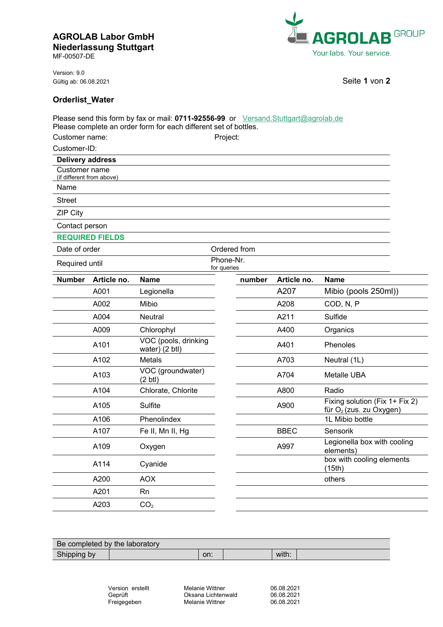## **AGROLAB Labor GmbH Niederlassung Stuttgart**

MF-00507-DE

Version: 9.0 Gültig ab: 06.08.2021 **Seite 1** von **2** 



 $\overline{a}$ L

## **Orderlist\_Water**

|                                            |                        | Please send this form by fax or mail: 0711-92556-99 or Versand.Stuttgart@agrolab.de<br>Please complete an order form for each different set of bottles. |                          |        |             |                                                                       |  |
|--------------------------------------------|------------------------|---------------------------------------------------------------------------------------------------------------------------------------------------------|--------------------------|--------|-------------|-----------------------------------------------------------------------|--|
| Customer name:                             |                        |                                                                                                                                                         | Project:                 |        |             |                                                                       |  |
| Customer-ID:                               |                        |                                                                                                                                                         |                          |        |             |                                                                       |  |
| <b>Delivery address</b>                    |                        |                                                                                                                                                         |                          |        |             |                                                                       |  |
| Customer name<br>(if different from above) |                        |                                                                                                                                                         |                          |        |             |                                                                       |  |
| Name                                       |                        |                                                                                                                                                         |                          |        |             |                                                                       |  |
| <b>Street</b>                              |                        |                                                                                                                                                         |                          |        |             |                                                                       |  |
| <b>ZIP City</b>                            |                        |                                                                                                                                                         |                          |        |             |                                                                       |  |
| Contact person                             |                        |                                                                                                                                                         |                          |        |             |                                                                       |  |
|                                            | <b>REQUIRED FIELDS</b> |                                                                                                                                                         |                          |        |             |                                                                       |  |
| Date of order                              |                        |                                                                                                                                                         | Ordered from             |        |             |                                                                       |  |
| Required until                             |                        |                                                                                                                                                         | Phone-Nr.<br>for queries |        |             |                                                                       |  |
| <b>Number</b>                              | Article no.            | <b>Name</b>                                                                                                                                             |                          | number | Article no. | <b>Name</b>                                                           |  |
|                                            | A001                   | Legionella                                                                                                                                              |                          |        | A207        | Mibio (pools 250ml))                                                  |  |
|                                            | A002                   | Mibio                                                                                                                                                   |                          |        | A208        | COD, N, P                                                             |  |
|                                            | A004                   | <b>Neutral</b>                                                                                                                                          |                          |        | A211        | Sulfide                                                               |  |
|                                            | A009                   | Chlorophyl                                                                                                                                              |                          |        | A400        | Organics                                                              |  |
|                                            | A101                   | VOC (pools, drinking<br>water) (2 btl)                                                                                                                  |                          |        | A401        | Phenoles                                                              |  |
|                                            | A102                   | Metals                                                                                                                                                  |                          |        | A703        | Neutral (1L)                                                          |  |
|                                            | A103                   | VOC (groundwater)<br>$(2 \text{ btl})$                                                                                                                  |                          |        | A704        | Metalle UBA                                                           |  |
|                                            | A104                   | Chlorate, Chlorite                                                                                                                                      |                          |        | A800        | Radio                                                                 |  |
|                                            | A105                   | Sulfite                                                                                                                                                 |                          |        | A900        | Fixing solution (Fix 1+ Fix 2)<br>für O <sub>2</sub> (zus. zu Oxygen) |  |
|                                            | A106                   | Phenolindex                                                                                                                                             |                          |        |             | 1L Mibio bottle                                                       |  |
|                                            | A107                   | Fe II, Mn II, Hg                                                                                                                                        |                          |        | <b>BBEC</b> | Sensorik                                                              |  |
|                                            | A109                   | Oxygen                                                                                                                                                  |                          |        | A997        | Legionella box with cooling<br>elements)                              |  |
|                                            | A114                   | Cyanide                                                                                                                                                 |                          |        |             | box with cooling elements<br>(15th)                                   |  |
|                                            | A200                   | <b>AOX</b>                                                                                                                                              |                          |        |             | others                                                                |  |
|                                            | A201                   | Rn                                                                                                                                                      |                          |        |             |                                                                       |  |
|                                            | A203                   | CO <sub>2</sub>                                                                                                                                         |                          |        |             |                                                                       |  |

| Be completed by the laboratory |     |  |       |  |  |  |  |  |
|--------------------------------|-----|--|-------|--|--|--|--|--|
| Shipping by                    | on: |  | with: |  |  |  |  |  |

| Version erstellt |  |  |  |  |
|------------------|--|--|--|--|
| Geprüft          |  |  |  |  |
| Freigegeben      |  |  |  |  |

Melanie Wittner Oksana Lichtenwald Melanie Wittner

06.08.2021 06.08.2021 06.08.2021